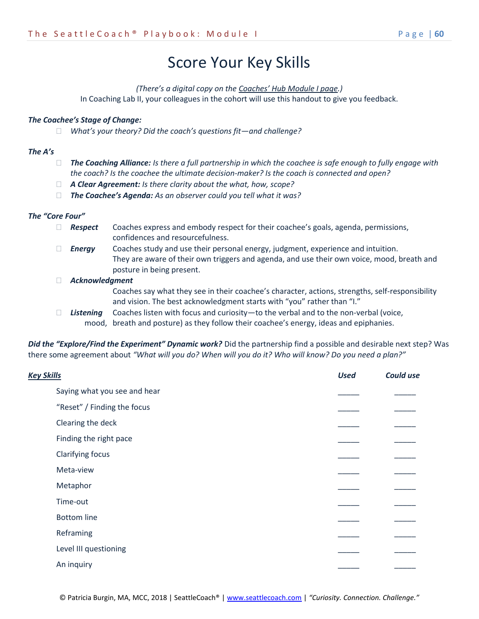# Score Your Key Skills

#### *(There's a digital copy on the [Coaches' Hub Module I page](https://www.seattlecoach.com/module-i.html).)*

In Coaching Lab II, your colleagues in the cohort will use this handout to give you feedback.

#### *The Coachee's Stage of Change:*

*What's your theory? Did the coach's questions fit—and challenge?*

#### *The A's*

- *The Coaching Alliance: Is there a full partnership in which the coachee is safe enough to fully engage with the coach? Is the coachee the ultimate decision-maker? Is the coach is connected and open?*
- *A Clear Agreement: Is there clarity about the what, how, scope?*
- *The Coachee's Agenda: As an observer could you tell what it was?*

### *The "Core Four"*

- *Respect* Coaches express and embody respect for their coachee's goals, agenda, permissions, confidences and resourcefulness.
- *Energy* Coaches study and use their personal energy, judgment, experience and intuition. They are aware of their own triggers and agenda, and use their own voice, mood, breath and posture in being present.

*Acknowledgment*

Coaches say what they see in their coachee's character, actions, strengths, self-responsibility and vision. The best acknowledgment starts with "you" rather than "I."

□ Listening Coaches listen with focus and curiosity—to the verbal and to the non-verbal (voice, mood, breath and posture) as they follow their coachee's energy, ideas and epiphanies.

*Did the "Explore/Find the Experiment" Dynamic work?* Did the partnership find a possible and desirable next step? Was there some agreement about *"What will you do? When will you do it? Who will know? Do you need a plan?"*

| <b>Key Skills</b> |                              | <b>Used</b> | <b>Could use</b> |
|-------------------|------------------------------|-------------|------------------|
|                   | Saying what you see and hear |             |                  |
|                   | "Reset" / Finding the focus  |             |                  |
|                   | Clearing the deck            |             |                  |
|                   | Finding the right pace       |             |                  |
|                   | Clarifying focus             |             |                  |
|                   | Meta-view                    |             |                  |
|                   | Metaphor                     |             |                  |
|                   | Time-out                     |             |                  |
|                   | <b>Bottom</b> line           |             |                  |
|                   | Reframing                    |             |                  |
|                   | Level III questioning        |             |                  |
|                   | An inquiry                   |             |                  |
|                   |                              |             |                  |